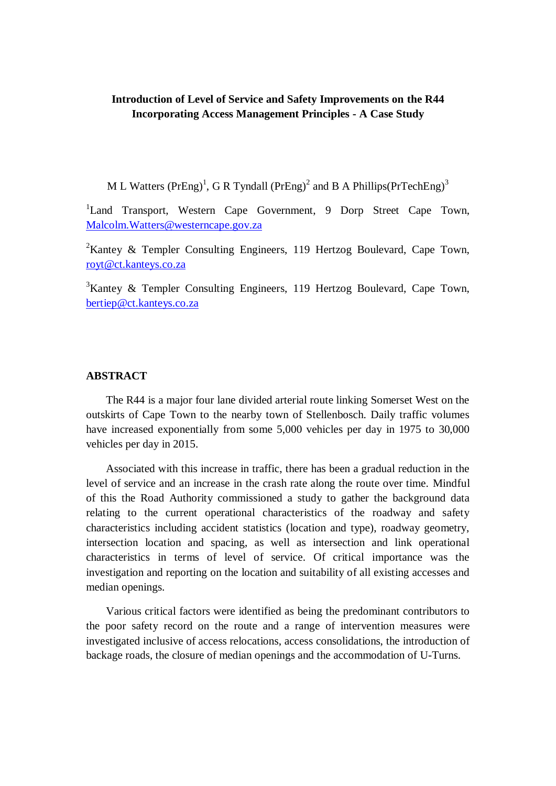# **Introduction of Level of Service and Safety Improvements on the R44 Incorporating Access Management Principles - A Case Study**

M L Watters (PrEng)<sup>1</sup>, G R Tyndall (PrEng)<sup>2</sup> and B A Phillips(PrTechEng)<sup>3</sup>

<sup>1</sup>Land Transport, Western Cape Government, 9 Dorp Street Cape Town, [Malcolm.Watters@westerncape.gov.za](mailto:Malcolm.Watters@westerncape.gov.za)

<sup>2</sup>Kantey & Templer Consulting Engineers, 119 Hertzog Boulevard, Cape Town, [royt@ct.kanteys.co.za](mailto:royt@ct.kanteys.co.za)

<sup>3</sup>Kantey & Templer Consulting Engineers, 119 Hertzog Boulevard, Cape Town, [bertiep@ct.kanteys.co.za](mailto:bertiep@ct.kanteys.co.za)

## **ABSTRACT**

The R44 is a major four lane divided arterial route linking Somerset West on the outskirts of Cape Town to the nearby town of Stellenbosch. Daily traffic volumes have increased exponentially from some 5,000 vehicles per day in 1975 to 30,000 vehicles per day in 2015.

Associated with this increase in traffic, there has been a gradual reduction in the level of service and an increase in the crash rate along the route over time. Mindful of this the Road Authority commissioned a study to gather the background data relating to the current operational characteristics of the roadway and safety characteristics including accident statistics (location and type), roadway geometry, intersection location and spacing, as well as intersection and link operational characteristics in terms of level of service. Of critical importance was the investigation and reporting on the location and suitability of all existing accesses and median openings.

Various critical factors were identified as being the predominant contributors to the poor safety record on the route and a range of intervention measures were investigated inclusive of access relocations, access consolidations, the introduction of backage roads, the closure of median openings and the accommodation of U-Turns.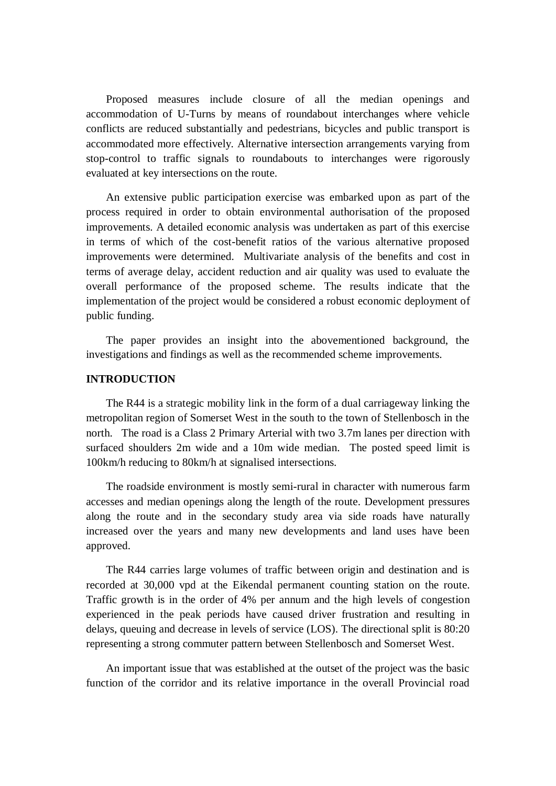Proposed measures include closure of all the median openings and accommodation of U-Turns by means of roundabout interchanges where vehicle conflicts are reduced substantially and pedestrians, bicycles and public transport is accommodated more effectively. Alternative intersection arrangements varying from stop-control to traffic signals to roundabouts to interchanges were rigorously evaluated at key intersections on the route.

An extensive public participation exercise was embarked upon as part of the process required in order to obtain environmental authorisation of the proposed improvements. A detailed economic analysis was undertaken as part of this exercise in terms of which of the cost-benefit ratios of the various alternative proposed improvements were determined. Multivariate analysis of the benefits and cost in terms of average delay, accident reduction and air quality was used to evaluate the overall performance of the proposed scheme. The results indicate that the implementation of the project would be considered a robust economic deployment of public funding.

The paper provides an insight into the abovementioned background, the investigations and findings as well as the recommended scheme improvements.

### **INTRODUCTION**

The R44 is a strategic mobility link in the form of a dual carriageway linking the metropolitan region of Somerset West in the south to the town of Stellenbosch in the north. The road is a Class 2 Primary Arterial with two 3.7m lanes per direction with surfaced shoulders 2m wide and a 10m wide median. The posted speed limit is 100km/h reducing to 80km/h at signalised intersections.

The roadside environment is mostly semi-rural in character with numerous farm accesses and median openings along the length of the route. Development pressures along the route and in the secondary study area via side roads have naturally increased over the years and many new developments and land uses have been approved.

The R44 carries large volumes of traffic between origin and destination and is recorded at 30,000 vpd at the Eikendal permanent counting station on the route. Traffic growth is in the order of 4% per annum and the high levels of congestion experienced in the peak periods have caused driver frustration and resulting in delays, queuing and decrease in levels of service (LOS). The directional split is 80:20 representing a strong commuter pattern between Stellenbosch and Somerset West.

An important issue that was established at the outset of the project was the basic function of the corridor and its relative importance in the overall Provincial road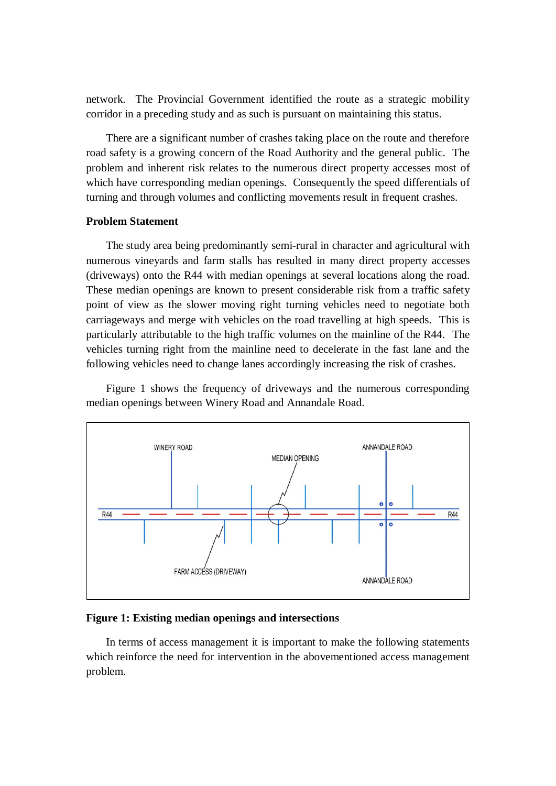network. The Provincial Government identified the route as a strategic mobility corridor in a preceding study and as such is pursuant on maintaining this status.

There are a significant number of crashes taking place on the route and therefore road safety is a growing concern of the Road Authority and the general public. The problem and inherent risk relates to the numerous direct property accesses most of which have corresponding median openings. Consequently the speed differentials of turning and through volumes and conflicting movements result in frequent crashes.

## **Problem Statement**

The study area being predominantly semi-rural in character and agricultural with numerous vineyards and farm stalls has resulted in many direct property accesses (driveways) onto the R44 with median openings at several locations along the road. These median openings are known to present considerable risk from a traffic safety point of view as the slower moving right turning vehicles need to negotiate both carriageways and merge with vehicles on the road travelling at high speeds. This is particularly attributable to the high traffic volumes on the mainline of the R44. The vehicles turning right from the mainline need to decelerate in the fast lane and the following vehicles need to change lanes accordingly increasing the risk of crashes.

Figure 1 shows the frequency of driveways and the numerous corresponding median openings between Winery Road and Annandale Road.



### **Figure 1: Existing median openings and intersections**

In terms of access management it is important to make the following statements which reinforce the need for intervention in the abovementioned access management problem.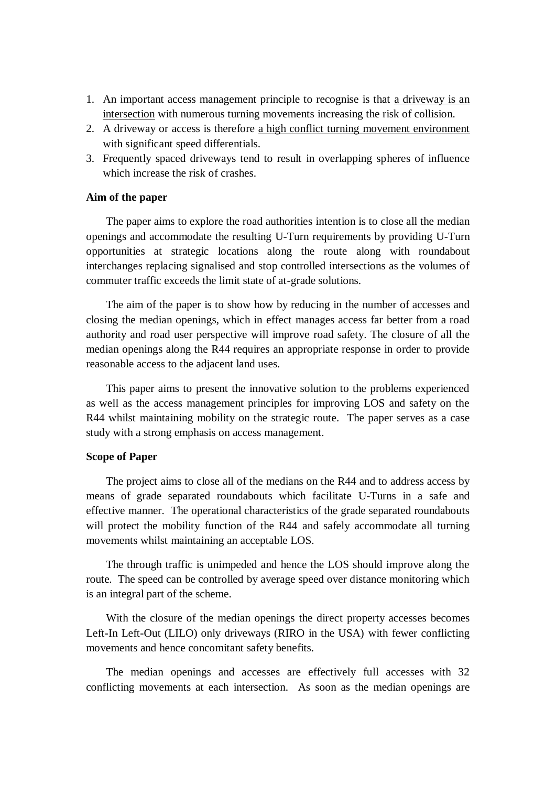- 1. An important access management principle to recognise is that a driveway is an intersection with numerous turning movements increasing the risk of collision.
- 2. A driveway or access is therefore a high conflict turning movement environment with significant speed differentials.
- 3. Frequently spaced driveways tend to result in overlapping spheres of influence which increase the risk of crashes.

#### **Aim of the paper**

The paper aims to explore the road authorities intention is to close all the median openings and accommodate the resulting U-Turn requirements by providing U-Turn opportunities at strategic locations along the route along with roundabout interchanges replacing signalised and stop controlled intersections as the volumes of commuter traffic exceeds the limit state of at-grade solutions.

The aim of the paper is to show how by reducing in the number of accesses and closing the median openings, which in effect manages access far better from a road authority and road user perspective will improve road safety. The closure of all the median openings along the R44 requires an appropriate response in order to provide reasonable access to the adjacent land uses.

This paper aims to present the innovative solution to the problems experienced as well as the access management principles for improving LOS and safety on the R44 whilst maintaining mobility on the strategic route. The paper serves as a case study with a strong emphasis on access management.

## **Scope of Paper**

The project aims to close all of the medians on the R44 and to address access by means of grade separated roundabouts which facilitate U-Turns in a safe and effective manner. The operational characteristics of the grade separated roundabouts will protect the mobility function of the R44 and safely accommodate all turning movements whilst maintaining an acceptable LOS.

The through traffic is unimpeded and hence the LOS should improve along the route. The speed can be controlled by average speed over distance monitoring which is an integral part of the scheme.

With the closure of the median openings the direct property accesses becomes Left-In Left-Out (LILO) only driveways (RIRO in the USA) with fewer conflicting movements and hence concomitant safety benefits.

The median openings and accesses are effectively full accesses with 32 conflicting movements at each intersection. As soon as the median openings are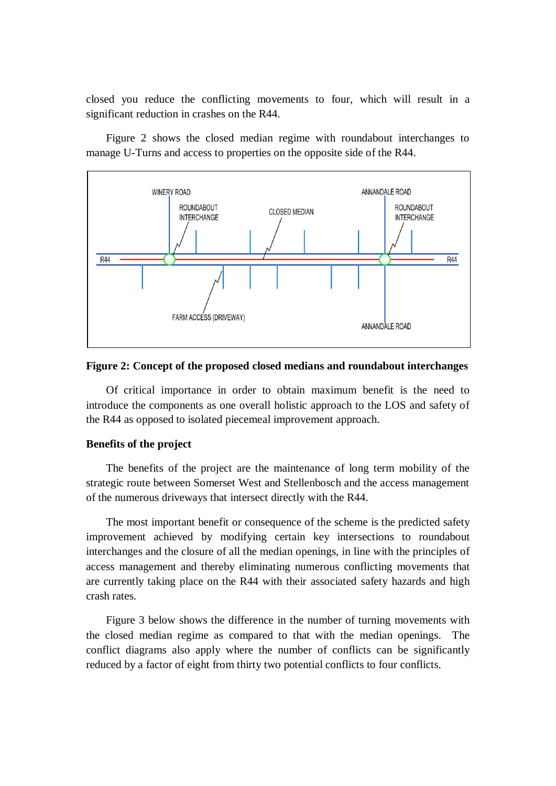closed you reduce the conflicting movements to four, which will result in a significant reduction in crashes on the R44.

Figure 2 shows the closed median regime with roundabout interchanges to manage U-Turns and access to properties on the opposite side of the R44.



## **Figure 2: Concept of the proposed closed medians and roundabout interchanges**

Of critical importance in order to obtain maximum benefit is the need to introduce the components as one overall holistic approach to the LOS and safety of the R44 as opposed to isolated piecemeal improvement approach.

## **Benefits of the project**

The benefits of the project are the maintenance of long term mobility of the strategic route between Somerset West and Stellenbosch and the access management of the numerous driveways that intersect directly with the R44.

The most important benefit or consequence of the scheme is the predicted safety improvement achieved by modifying certain key intersections to roundabout interchanges and the closure of all the median openings, in line with the principles of access management and thereby eliminating numerous conflicting movements that are currently taking place on the R44 with their associated safety hazards and high crash rates.

Figure 3 below shows the difference in the number of turning movements with the closed median regime as compared to that with the median openings. The conflict diagrams also apply where the number of conflicts can be significantly reduced by a factor of eight from thirty two potential conflicts to four conflicts.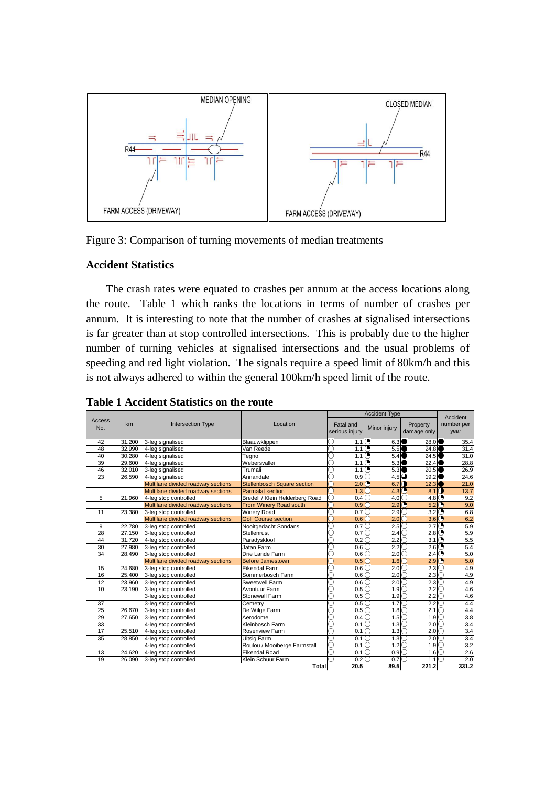

Figure 3: Comparison of turning movements of median treatments

# **Accident Statistics**

The crash rates were equated to crashes per annum at the access locations along the route. Table 1 which ranks the locations in terms of number of crashes per annum. It is interesting to note that the number of crashes at signalised intersections is far greater than at stop controlled intersections. This is probably due to the higher number of turning vehicles at signalised intersections and the usual problems of speeding and red light violation. The signals require a speed limit of 80km/h and this is not always adhered to within the general 100km/h speed limit of the route.

|               | km     | Intersection Type                  | Location                           | <b>Accident Type</b>     |                         |                                     | Accident   |
|---------------|--------|------------------------------------|------------------------------------|--------------------------|-------------------------|-------------------------------------|------------|
| <b>Access</b> |        |                                    |                                    | Fatal and                |                         | Property                            | number per |
| No.           |        |                                    |                                    | serious injury           | Minor injury            | damage only                         | year       |
|               |        |                                    |                                    |                          |                         |                                     |            |
| 42            | 31.200 | 3-leg signalised                   | Blaauwklippen                      | 1.1                      | O<br>6.3                | 28.0                                | 35.4       |
| 48            | 32.990 | 4-leg signalised                   | Van Reede                          | $1.1$ $\circ$            | 5.5                     | 24.8                                | 31.4       |
| 40            | 30.280 | 4-leg signalised                   | Teano                              | $1.1$ $\circlearrowleft$ | 5.4                     | 24.5                                | 31.0       |
| 39            | 29.600 | 4-leg signalised                   | Webersvallei                       | $1.1$ $\odot$<br>D.      | $5.3$ <sup>O</sup>      | 22.4                                | 28.8       |
| 46            | 32.010 | 3-leg signalised                   | Trumali                            | 1.1<br>D.                | Θ<br>$5.3$ <sup>O</sup> | 20.5                                | 26.9       |
| 23            | 26.590 | 4-leg signalised                   | Annandale                          | 0.9 <sub>C</sub>         | $4.5$ $\bigcirc$        | 19.2                                | 24.6       |
|               |        | Multilane divided roadway sections | <b>Stellenbosch Square section</b> | 2.0()                    | 6.7                     | O<br>12.3                           | 21.0       |
|               |        | Multilane divided roadway sections | <b>Parmalat section</b>            | 1.3                      | 4.3                     | 8.1                                 | O<br>13.7  |
| 5             | 21.960 | 4-leg stop controlled              | Bredell / Klein Helderberg Road    | 0.4<br>3                 | 4.0                     | $4.8$ <sup><math>\circ</math></sup> | 9.2        |
|               |        | Multilane divided roadway sections | From Winery Road south             | 0.9 <sub>°</sub>         | 2.9                     | O<br>5.2                            | O<br>9.0   |
| 11            | 23.380 | 3-leg stop controlled              | <b>Winery Road</b>                 | 0.7                      | 2.9                     | 3.2                                 | Θ<br>6.8   |
|               |        | Multilane divided roadway sections | <b>Golf Course section</b>         | 0.6                      | 2.0                     | 3.6                                 | O<br>6.2   |
| 9             | 22.780 | 3-leg stop controlled              | Nooitgedacht Sondans               | 0.7                      | 2.5                     | 2.7                                 | G<br>5.9   |
| 28            | 27.150 | 3-leg stop controlled              | Stellenrust                        | 0.7                      | 2.4                     | 2.8()                               | 5.9        |
| 44            | 31.720 | 4-leg stop controlled              | Paradyskloof                       | 0.2                      | 2.2                     | 3.1                                 | G<br>5.5   |
| 30            | 27.980 | 3-leg stop controlled              | Jatan Farm                         | 0.6                      | 2.2                     | 2.6                                 | G<br>5.4   |
| 34            | 28.490 | 3-leg stop controlled              | Drie Lande Farm                    | 0.6                      | 2.0                     | 2.4                                 | G<br>5.0   |
|               |        | Multilane divided roadway sections | <b>Before Jamestown</b>            | 0.5                      | 1.6                     | 2.9                                 | O<br>5.0   |
| 15            | 24.680 | 3-leg stop controlled              | <b>Eikendal Farm</b>               | 0.6                      | 2.0                     | 2.3                                 | 4.9        |
| 16            | 25.400 | 3-leg stop controlled              | Sommerbosch Farm                   | 0.6IC                    | 2.0                     | 2.3                                 | 4.9        |
| 12            | 23.960 | 3-leg stop controlled              | Sweetwell Farm                     | 0.6                      | 2.0                     | $2.3\degree$                        | 4.9        |
| 10            | 23.190 | 3-leg stop controlled              | <b>Avontuur Farm</b>               | 0.5                      | 1.9 <sub>C</sub><br>C   | 2.2                                 | 4.6        |
|               |        | 3-leg stop controlled              | Stonewall Farm                     | 0.5                      | 1.9 <sup>°</sup>        | $2.2\degree$                        | 4.6        |
| 37            |        | 3-leg stop controlled              | Cemetry                            | 0.5                      | 1.7<br>С                | $2.2\text{C}$                       | 4.4        |
| 25            | 26.670 | 3-leg stop controlled              | De Wilge Farm                      | 0.5<br>IJ                | 1.8<br>C                | 2.1<br>Ю                            | 4.4<br>U   |
| 29            | 27.650 | 3-leg stop controlled              | Aerodome                           | 0.4<br>J                 | 1.5                     | 1.9 C<br>O                          | 3.8        |
| 33            |        | 4-leg stop controlled              | Kleinbosch Farm                    | 0.1<br>J                 | 1.3                     | 2.0                                 | 3.4        |
| 17            | 25.510 | 4-leg stop controlled              | <b>Rosenview Farm</b>              | 0.1                      | 1.3                     | 2.0                                 | 3.4        |
| 35            | 28.850 | 4-leg stop controlled              | Uitsig Farm                        | 0.1                      | 1.3                     | 2.0                                 | 3.4        |
|               |        | 4-leg stop controlled              | Roulou / Mooiberge Farmstall       | 0.1                      | 1.2                     | 1.9<br>C                            | 3.2        |
| 13            | 24.620 | 4-leg stop controlled              | <b>Eikendal Road</b>               | 0.1                      | 0.9                     | 1.6<br>Ю                            | 2.6        |
| 19            | 26.090 | 3-leg stop controlled              | Klein Schuur Farm                  | 0.2                      | 0.7                     | 1.1                                 | 2.0        |
|               |        |                                    | Total                              | 20.5                     | 89.5                    | 221.2                               | 331.2      |

**Table 1 Accident Statistics on the route**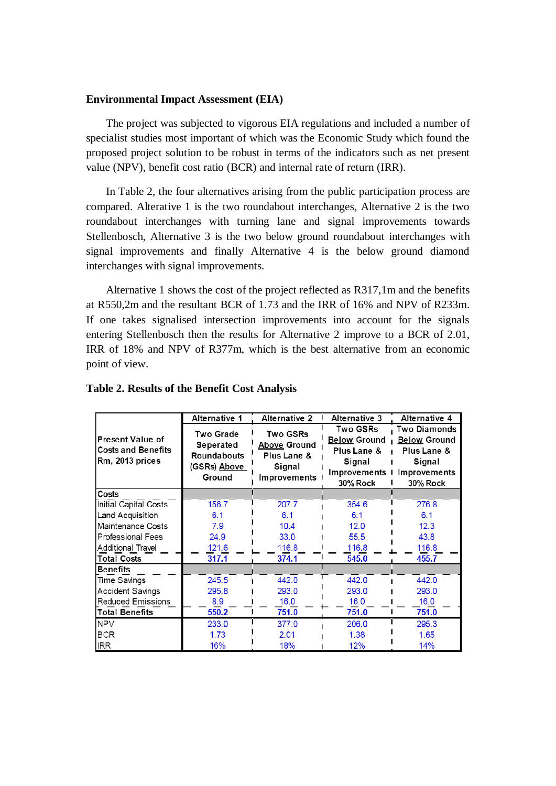#### **Environmental Impact Assessment (EIA)**

The project was subjected to vigorous EIA regulations and included a number of specialist studies most important of which was the Economic Study which found the proposed project solution to be robust in terms of the indicators such as net present value (NPV), benefit cost ratio (BCR) and internal rate of return (IRR).

In Table 2, the four alternatives arising from the public participation process are compared. Alterative 1 is the two roundabout interchanges, Alternative 2 is the two roundabout interchanges with turning lane and signal improvements towards Stellenbosch, Alternative 3 is the two below ground roundabout interchanges with signal improvements and finally Alternative 4 is the below ground diamond interchanges with signal improvements.

Alternative 1 shows the cost of the project reflected as R317,1m and the benefits at R550,2m and the resultant BCR of 1.73 and the IRR of 16% and NPV of R233m. If one takes signalised intersection improvements into account for the signals entering Stellenbosch then the results for Alternative 2 improve to a BCR of 2.01, IRR of 18% and NPV of R377m, which is the best alternative from an economic point of view.

|                                                                         | Alternative 1                                                                 | <b>Alternative 2</b><br>Alternative 3                                    |                                                                                                    | Alternative 4                                                                                          |  |
|-------------------------------------------------------------------------|-------------------------------------------------------------------------------|--------------------------------------------------------------------------|----------------------------------------------------------------------------------------------------|--------------------------------------------------------------------------------------------------------|--|
| <b>Present Value of</b><br><b>Costs and Benefits</b><br>Rm. 2013 prices | Two Grade<br>Seperated<br><b>Roundabouts</b><br>(GSRs) <u>Above</u><br>Ground | Two GSRs<br><u>Above</u> Ground<br>Plus Lane &<br>Signal<br>Improvements | <b>Two GSRs</b><br><b>Below Ground</b><br>Plus Lane &<br>Signal<br>Improvements<br><b>30% Rock</b> | <b>Two Diamonds</b><br><b>Below Ground</b><br>Plus Lane &<br>Signal<br>Improvements<br><b>30% Rock</b> |  |
| Costs                                                                   |                                                                               |                                                                          |                                                                                                    |                                                                                                        |  |
| Initial Capital Costs                                                   | 156.7                                                                         | 207.7                                                                    | 354.6                                                                                              | 276.8                                                                                                  |  |
| Land Acquisition                                                        | 6.1                                                                           | 6.1                                                                      | 6.1                                                                                                | 6.1                                                                                                    |  |
| Maintenance Costs                                                       | 7.9                                                                           | 10.4                                                                     | 12.0                                                                                               | 12.3                                                                                                   |  |
| <b>Professional Fees</b>                                                | 24.9                                                                          | 33.0                                                                     | 55.5                                                                                               | 43.8                                                                                                   |  |
| Additional Travel                                                       | 121.6                                                                         | 116.8                                                                    | 116.8                                                                                              | 116.8                                                                                                  |  |
| <b>Total Costs</b>                                                      | 317.1                                                                         | 374.1                                                                    | 545.0                                                                                              | 455.7                                                                                                  |  |
| <b>Benefits</b>                                                         |                                                                               |                                                                          |                                                                                                    |                                                                                                        |  |
| Time Savings                                                            | 245.5                                                                         | 442.0                                                                    | 442.0                                                                                              | 442.0                                                                                                  |  |
| Accident Savings                                                        | 295.8                                                                         | 293.0                                                                    | 293.0                                                                                              | 293.0                                                                                                  |  |
| Reduced Emissions                                                       | 8.9                                                                           | 16.0                                                                     | 16.0                                                                                               | 16.0                                                                                                   |  |
| <b>Total Benefits</b>                                                   | 550.2                                                                         | 751.0                                                                    | 751.0                                                                                              | 751.0                                                                                                  |  |
| <b>NPV</b>                                                              | 233.0                                                                         | 377.0                                                                    | 206.0                                                                                              | 295.3                                                                                                  |  |
| <b>BCR</b>                                                              | 1.73                                                                          | 2.01                                                                     | 1.38                                                                                               | 1.65                                                                                                   |  |
| <b>IRR</b>                                                              | 16%                                                                           | 18%                                                                      | 12%                                                                                                | 14%                                                                                                    |  |

#### **Table 2. Results of the Benefit Cost Analysis**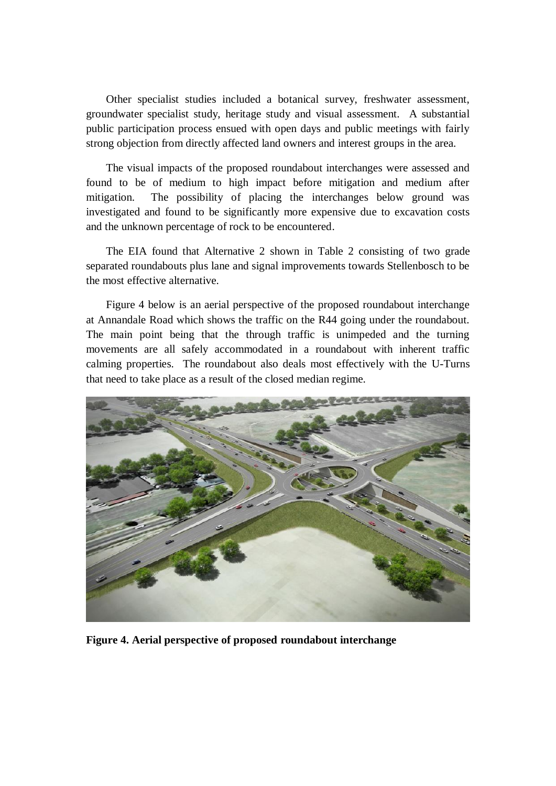Other specialist studies included a botanical survey, freshwater assessment, groundwater specialist study, heritage study and visual assessment. A substantial public participation process ensued with open days and public meetings with fairly strong objection from directly affected land owners and interest groups in the area.

The visual impacts of the proposed roundabout interchanges were assessed and found to be of medium to high impact before mitigation and medium after mitigation. The possibility of placing the interchanges below ground was investigated and found to be significantly more expensive due to excavation costs and the unknown percentage of rock to be encountered.

The EIA found that Alternative 2 shown in Table 2 consisting of two grade separated roundabouts plus lane and signal improvements towards Stellenbosch to be the most effective alternative.

Figure 4 below is an aerial perspective of the proposed roundabout interchange at Annandale Road which shows the traffic on the R44 going under the roundabout. The main point being that the through traffic is unimpeded and the turning movements are all safely accommodated in a roundabout with inherent traffic calming properties. The roundabout also deals most effectively with the U-Turns that need to take place as a result of the closed median regime.



**Figure 4. Aerial perspective of proposed roundabout interchange**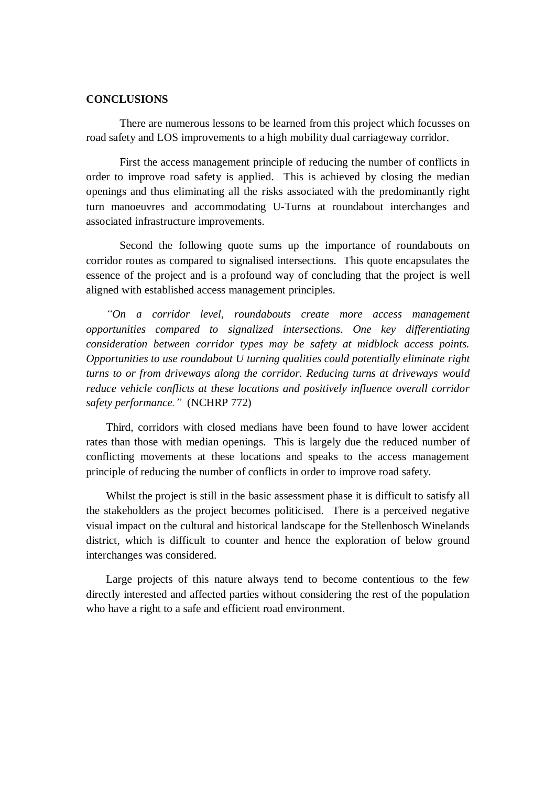## **CONCLUSIONS**

There are numerous lessons to be learned from this project which focusses on road safety and LOS improvements to a high mobility dual carriageway corridor.

First the access management principle of reducing the number of conflicts in order to improve road safety is applied. This is achieved by closing the median openings and thus eliminating all the risks associated with the predominantly right turn manoeuvres and accommodating U-Turns at roundabout interchanges and associated infrastructure improvements.

Second the following quote sums up the importance of roundabouts on corridor routes as compared to signalised intersections. This quote encapsulates the essence of the project and is a profound way of concluding that the project is well aligned with established access management principles.

*"On a corridor level, roundabouts create more access management opportunities compared to signalized intersections. One key differentiating consideration between corridor types may be safety at midblock access points. Opportunities to use roundabout U turning qualities could potentially eliminate right turns to or from driveways along the corridor. Reducing turns at driveways would reduce vehicle conflicts at these locations and positively influence overall corridor safety performance."* (NCHRP 772)

Third, corridors with closed medians have been found to have lower accident rates than those with median openings. This is largely due the reduced number of conflicting movements at these locations and speaks to the access management principle of reducing the number of conflicts in order to improve road safety.

Whilst the project is still in the basic assessment phase it is difficult to satisfy all the stakeholders as the project becomes politicised. There is a perceived negative visual impact on the cultural and historical landscape for the Stellenbosch Winelands district, which is difficult to counter and hence the exploration of below ground interchanges was considered.

Large projects of this nature always tend to become contentious to the few directly interested and affected parties without considering the rest of the population who have a right to a safe and efficient road environment.